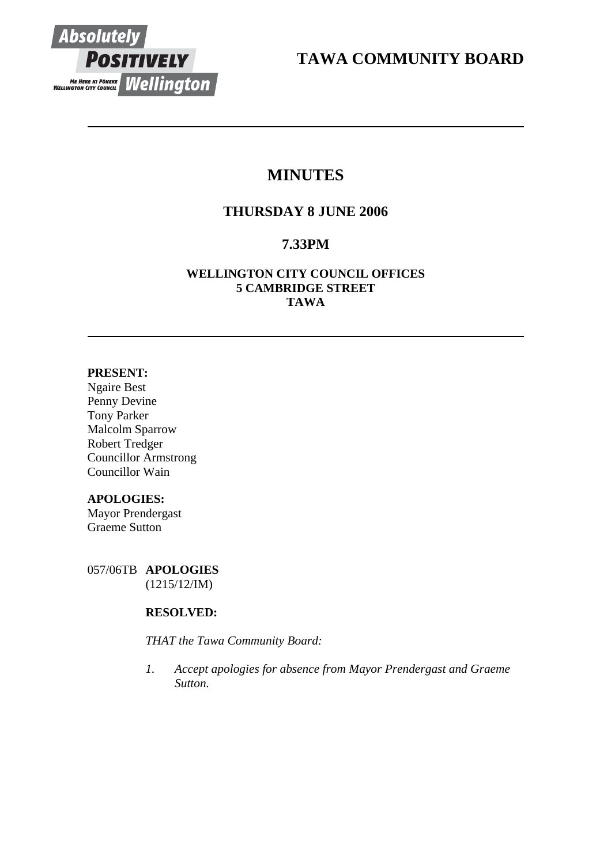

**TAWA COMMUNITY BOARD** 

# **MINUTES**

# **THURSDAY 8 JUNE 2006**

# **7.33PM**

# **WELLINGTON CITY COUNCIL OFFICES 5 CAMBRIDGE STREET TAWA**

# **PRESENT:**

Ngaire Best Penny Devine Tony Parker Malcolm Sparrow Robert Tredger Councillor Armstrong Councillor Wain

# **APOLOGIES:**

Mayor Prendergast Graeme Sutton

057/06TB **APOLOGIES** (1215/12/IM)

# **RESOLVED:**

*THAT the Tawa Community Board:* 

*1. Accept apologies for absence from Mayor Prendergast and Graeme Sutton.*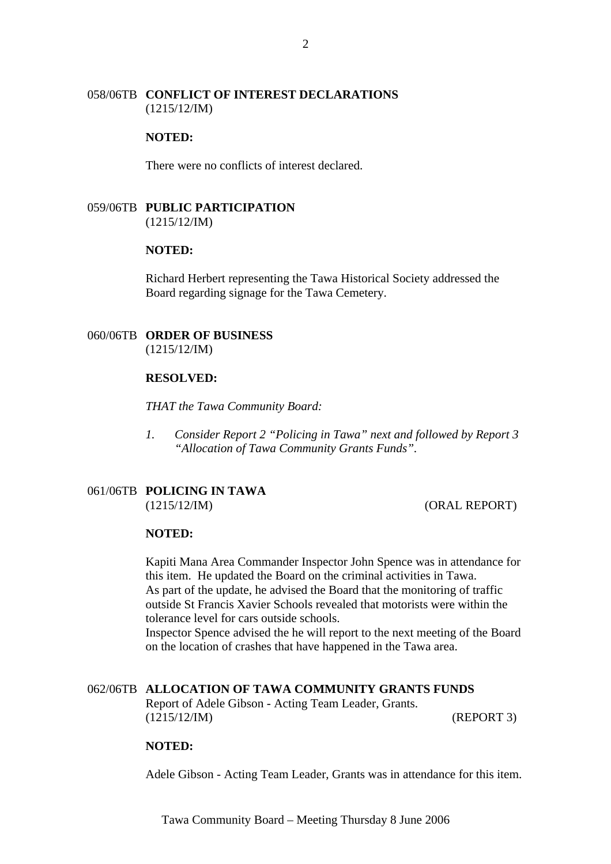## 058/06TB **CONFLICT OF INTEREST DECLARATIONS** (1215/12/IM)

#### **NOTED:**

There were no conflicts of interest declared.

059/06TB **PUBLIC PARTICIPATION** (1215/12/IM)

#### **NOTED:**

Richard Herbert representing the Tawa Historical Society addressed the Board regarding signage for the Tawa Cemetery.

#### 060/06TB **ORDER OF BUSINESS** (1215/12/IM)

## **RESOLVED:**

*THAT the Tawa Community Board:* 

*1. Consider Report 2 "Policing in Tawa" next and followed by Report 3 "Allocation of Tawa Community Grants Funds".* 

# 061/06TB **POLICING IN TAWA**

(1215/12/IM) (ORAL REPORT)

# **NOTED:**

Kapiti Mana Area Commander Inspector John Spence was in attendance for this item. He updated the Board on the criminal activities in Tawa. As part of the update, he advised the Board that the monitoring of traffic outside St Francis Xavier Schools revealed that motorists were within the tolerance level for cars outside schools.

Inspector Spence advised the he will report to the next meeting of the Board on the location of crashes that have happened in the Tawa area.

#### 062/06TB **ALLOCATION OF TAWA COMMUNITY GRANTS FUNDS**

Report of Adele Gibson - Acting Team Leader, Grants. (1215/12/IM) (REPORT 3)

#### **NOTED:**

Adele Gibson - Acting Team Leader, Grants was in attendance for this item.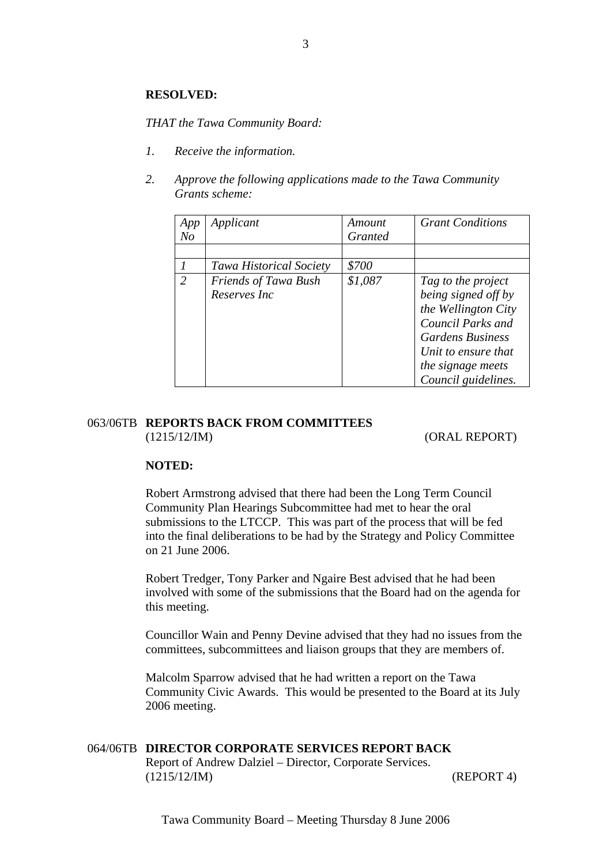#### **RESOLVED:**

*THAT the Tawa Community Board:* 

- *1. Receive the information.*
- *2. Approve the following applications made to the Tawa Community Grants scheme:*

| App           | Applicant                      | Amount         | <b>Grant Conditions</b> |
|---------------|--------------------------------|----------------|-------------------------|
| $N_{O}$       |                                | <i>Granted</i> |                         |
|               |                                |                |                         |
|               | <b>Tawa Historical Society</b> | \$700          |                         |
| $\mathcal{L}$ | Friends of Tawa Bush           | \$1,087        | Tag to the project      |
|               | Reserves Inc.                  |                | being signed off by     |
|               |                                |                | the Wellington City     |
|               |                                |                | Council Parks and       |
|               |                                |                | <b>Gardens Business</b> |
|               |                                |                | Unit to ensure that     |
|               |                                |                | the signage meets       |
|               |                                |                | Council guidelines.     |

#### 063/06TB **REPORTS BACK FROM COMMITTEES**  (1215/12/IM) (ORAL REPORT)

#### **NOTED:**

Robert Armstrong advised that there had been the Long Term Council Community Plan Hearings Subcommittee had met to hear the oral submissions to the LTCCP. This was part of the process that will be fed into the final deliberations to be had by the Strategy and Policy Committee on 21 June 2006.

Robert Tredger, Tony Parker and Ngaire Best advised that he had been involved with some of the submissions that the Board had on the agenda for this meeting.

Councillor Wain and Penny Devine advised that they had no issues from the committees, subcommittees and liaison groups that they are members of.

Malcolm Sparrow advised that he had written a report on the Tawa Community Civic Awards. This would be presented to the Board at its July 2006 meeting.

# 064/06TB **DIRECTOR CORPORATE SERVICES REPORT BACK**

Report of Andrew Dalziel – Director, Corporate Services. (1215/12/IM) (REPORT 4)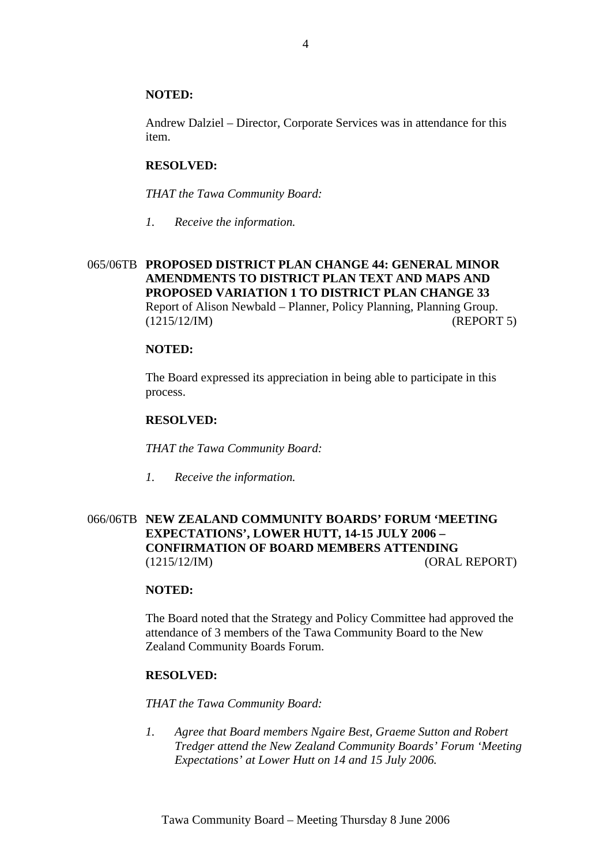## **NOTED:**

Andrew Dalziel – Director, Corporate Services was in attendance for this item.

# **RESOLVED:**

*THAT the Tawa Community Board:* 

*1. Receive the information.* 

# 065/06TB **PROPOSED DISTRICT PLAN CHANGE 44: GENERAL MINOR AMENDMENTS TO DISTRICT PLAN TEXT AND MAPS AND PROPOSED VARIATION 1 TO DISTRICT PLAN CHANGE 33**  Report of Alison Newbald – Planner, Policy Planning, Planning Group. (1215/12/IM) (REPORT 5)

#### **NOTED:**

The Board expressed its appreciation in being able to participate in this process.

#### **RESOLVED:**

*THAT the Tawa Community Board:* 

*1. Receive the information.* 

# 066/06TB **NEW ZEALAND COMMUNITY BOARDS' FORUM 'MEETING EXPECTATIONS', LOWER HUTT, 14-15 JULY 2006 – CONFIRMATION OF BOARD MEMBERS ATTENDING**  (1215/12/IM) (ORAL REPORT)

## **NOTED:**

The Board noted that the Strategy and Policy Committee had approved the attendance of 3 members of the Tawa Community Board to the New Zealand Community Boards Forum.

#### **RESOLVED:**

*THAT the Tawa Community Board:* 

*1. Agree that Board members Ngaire Best, Graeme Sutton and Robert Tredger attend the New Zealand Community Boards' Forum 'Meeting Expectations' at Lower Hutt on 14 and 15 July 2006.*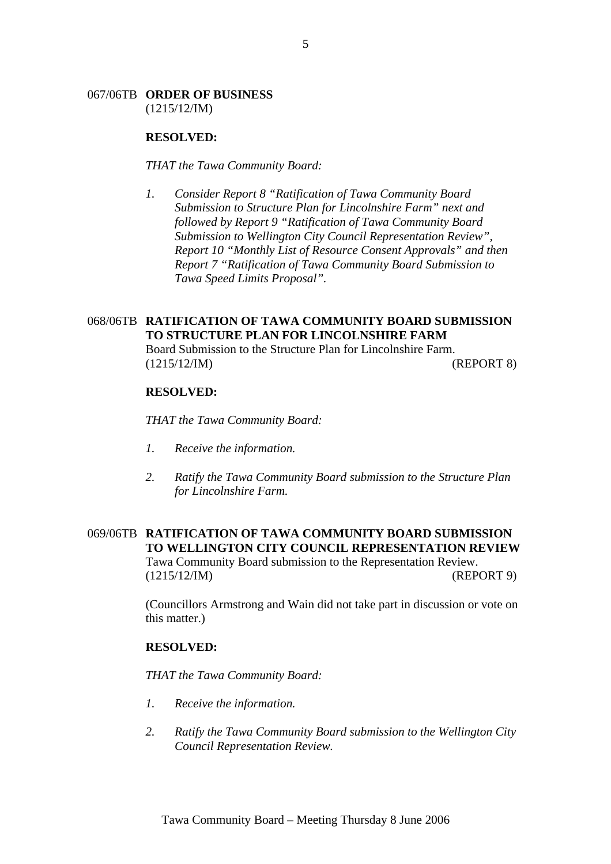# 067/06TB **ORDER OF BUSINESS**

(1215/12/IM)

#### **RESOLVED:**

*THAT the Tawa Community Board:* 

*1. Consider Report 8 "Ratification of Tawa Community Board Submission to Structure Plan for Lincolnshire Farm" next and followed by Report 9 "Ratification of Tawa Community Board Submission to Wellington City Council Representation Review", Report 10 "Monthly List of Resource Consent Approvals" and then Report 7 "Ratification of Tawa Community Board Submission to Tawa Speed Limits Proposal".* 

# 068/06TB **RATIFICATION OF TAWA COMMUNITY BOARD SUBMISSION TO STRUCTURE PLAN FOR LINCOLNSHIRE FARM** Board Submission to the Structure Plan for Lincolnshire Farm.

(1215/12/IM) (REPORT 8)

#### **RESOLVED:**

*THAT the Tawa Community Board:* 

- *1. Receive the information.*
- *2. Ratify the Tawa Community Board submission to the Structure Plan for Lincolnshire Farm.*

# 069/06TB **RATIFICATION OF TAWA COMMUNITY BOARD SUBMISSION TO WELLINGTON CITY COUNCIL REPRESENTATION REVIEW**  Tawa Community Board submission to the Representation Review. (1215/12/IM) (REPORT 9)

(Councillors Armstrong and Wain did not take part in discussion or vote on this matter.)

# **RESOLVED:**

*THAT the Tawa Community Board:* 

- *1. Receive the information.*
- *2. Ratify the Tawa Community Board submission to the Wellington City Council Representation Review.*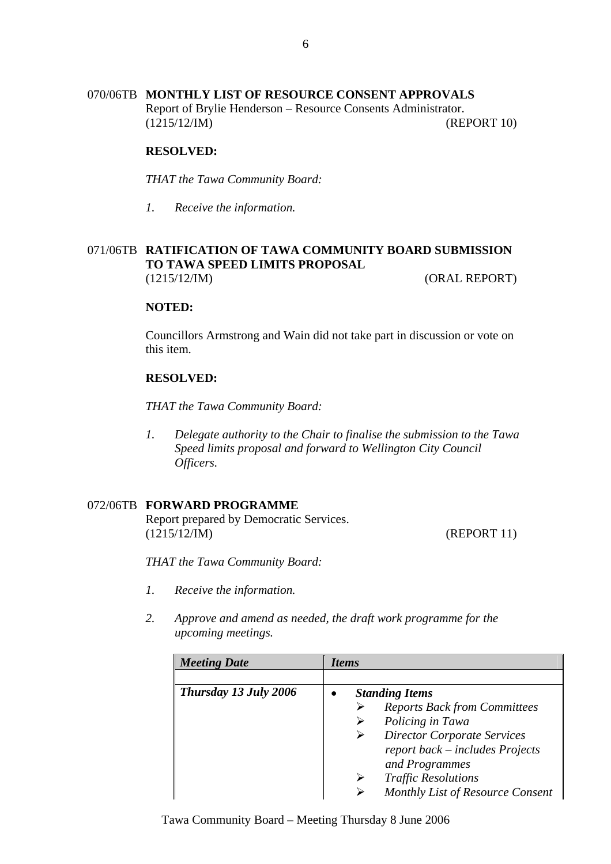# 070/06TB **MONTHLY LIST OF RESOURCE CONSENT APPROVALS**

Report of Brylie Henderson – Resource Consents Administrator. (1215/12/IM) (REPORT 10)

#### **RESOLVED:**

*THAT the Tawa Community Board:* 

*1. Receive the information.* 

# 071/06TB **RATIFICATION OF TAWA COMMUNITY BOARD SUBMISSION TO TAWA SPEED LIMITS PROPOSAL**  (1215/12/IM) (ORAL REPORT)

#### **NOTED:**

Councillors Armstrong and Wain did not take part in discussion or vote on this item.

#### **RESOLVED:**

*THAT the Tawa Community Board:* 

*1. Delegate authority to the Chair to finalise the submission to the Tawa Speed limits proposal and forward to Wellington City Council Officers.* 

# 072/06TB **FORWARD PROGRAMME**

Report prepared by Democratic Services. (1215/12/IM) (REPORT 11)

*THAT the Tawa Community Board:* 

- *1. Receive the information.*
- *2. Approve and amend as needed, the draft work programme for the upcoming meetings.*

| <b>Meeting Date</b>   | <i>Items</i>                        |  |  |
|-----------------------|-------------------------------------|--|--|
|                       |                                     |  |  |
| Thursday 13 July 2006 | <b>Standing Items</b>               |  |  |
|                       | <b>Reports Back from Committees</b> |  |  |
|                       | Policing in Tawa                    |  |  |
|                       | <b>Director Corporate Services</b>  |  |  |
|                       | report back – includes Projects     |  |  |
|                       | and Programmes                      |  |  |
|                       | <b>Traffic Resolutions</b>          |  |  |
|                       | Monthly List of Resource Consent    |  |  |

Tawa Community Board – Meeting Thursday 8 June 2006